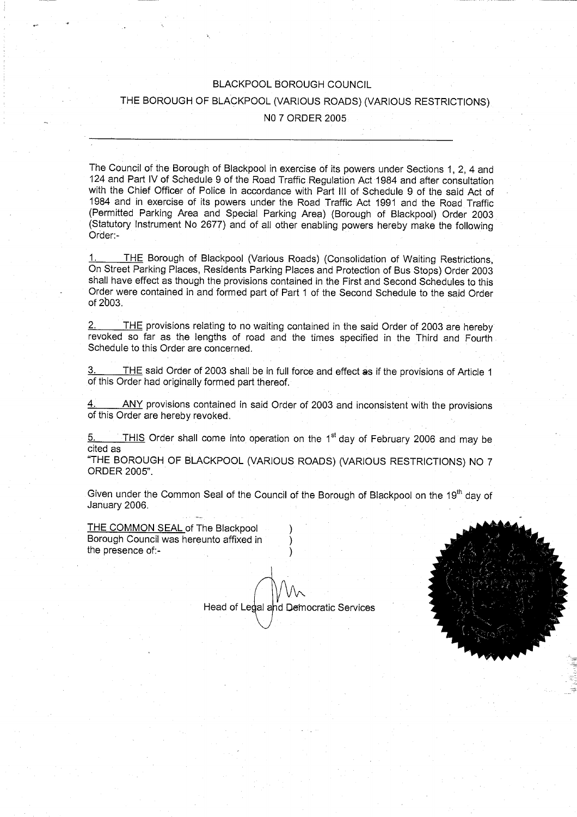## BLACKPOOL BOROUGH COUNCIL

# THE BOROUGH OF BLACKPOOL (VARIOUS ROADS) (VARIOUS RESTRICTIONS)

#### NO 7 ORDER 2005

The Council of the Borough of Blackpool in exercise of its powers under Sections 1, 2, 4 and 124 and Part IV of Schedule 9 of the Road Traffic Regulation Act 1984 and after consultation with the Chief Officer of Police in accordance with Part III of Schedule 9 of the said Act of 1984 and in exercise of its powers under the Road Traffic Act 1991 and the Road Traffic (Permitted Parking Area and Special Parking Area) (Borough of Blackpool) Order 2003 (Statutory Instrument No 2677) and of all other enabling powers hereby make the following Order:-

1. THE Borough of Blackpool (Various Roads) (Consolidation of Waiting Restrictions, On Street Parking Places, Residents Parking Places and Protection of Bus Stops) Order 2003 shall have effect as though the provisions contained in the First and Second Schedules to this Order were contained in and formed part of Part 1 of the Second Schedule to the said Order of 2b03.

2. THE provisions relating to no waiting contained in the said Order of 2003 are hereby revoked so far as the lengths of road and the times specified in the Third and Fourth Schedule to this Order are concerned.

THE said Order of 2003 shall be in full force and effect as if the provisions of Article 1 of this Order had originally formed part thereof.

ANY provisions contained in said Order of 2003 and inconsistent with the provisions of this Order are hereby revoked.

 $5.$  THIS Order shall come into operation on the 1<sup>st</sup> day of February 2006 and may be cited as

"THE BOROUGH OF BLACKPOOL (VARIOUS ROADS) (VARIOUS RESTRICTIONS) NO 7 ORDER 2005".

Given under the Common Seal of the Council of the Borough of Blackpool on the 19<sup>th</sup> day of January 2006.

THE COMMON SEAL of The Blackpool Borough Council was hereunto affixed in the presence of:-

Head of Legal and Democratic Services